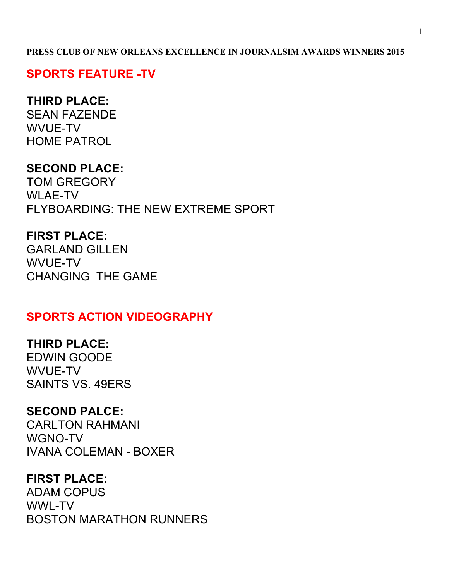#### **PRESS CLUB OF NEW ORLEANS EXCELLENCE IN JOURNALSIM AWARDS WINNERS 2015**

#### **SPORTS FEATURE -TV**

#### **THIRD PLACE:**

SEAN FAZENDE WVUE-TV HOME PATROL

## **SECOND PLACE:**

TOM GREGORY WLAE-TV FLYBOARDING: THE NEW EXTREME SPORT

#### **FIRST PLACE:**

GARLAND GILLEN WVUE-TV CHANGING THE GAME

#### **SPORTS ACTION VIDEOGRAPHY**

#### **THIRD PLACE:**

EDWIN GOODE WVUE-TV SAINTS VS. 49ERS

#### **SECOND PALCE:**

CARLTON RAHMANI WGNO-TV IVANA COLEMAN - BOXER

### **FIRST PLACE:**

ADAM COPUS WWL-TV BOSTON MARATHON RUNNERS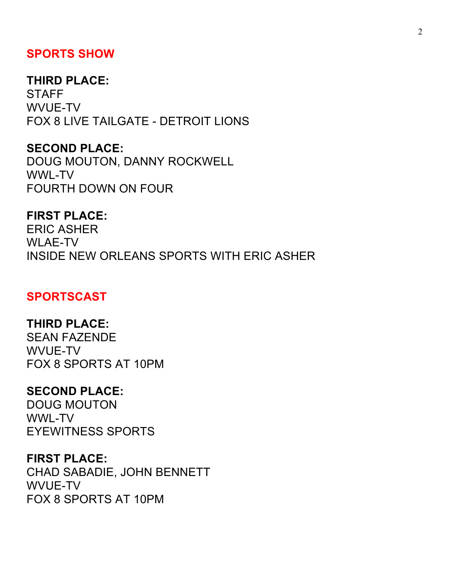### **SPORTS SHOW**

#### **THIRD PLACE:**

**STAFF** WVUE-TV FOX 8 LIVE TAILGATE - DETROIT LIONS

#### **SECOND PLACE:**

DOUG MOUTON, DANNY ROCKWELL WWL-TV FOURTH DOWN ON FOUR

#### **FIRST PLACE:**

ERIC ASHER WLAE-TV INSIDE NEW ORLEANS SPORTS WITH ERIC ASHER

## **SPORTSCAST**

#### **THIRD PLACE:**

SEAN FAZENDE WVUE-TV FOX 8 SPORTS AT 10PM

### **SECOND PLACE:**

DOUG MOUTON WWL-TV EYEWITNESS SPORTS

#### **FIRST PLACE:**

CHAD SABADIE, JOHN BENNETT WVUE-TV FOX 8 SPORTS AT 10PM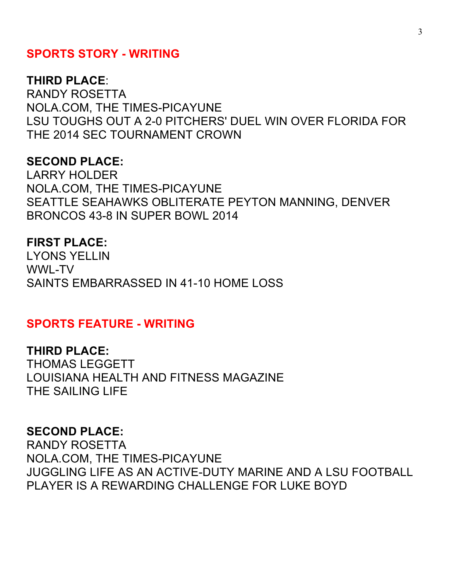#### **SPORTS STORY - WRITING**

#### **THIRD PLACE**:

RANDY ROSETTA NOLA.COM, THE TIMES-PICAYUNE LSU TOUGHS OUT A 2-0 PITCHERS' DUEL WIN OVER FLORIDA FOR THE 2014 SEC TOURNAMENT CROWN

#### **SECOND PLACE:**

LARRY HOLDER NOLA.COM, THE TIMES-PICAYUNE SEATTLE SEAHAWKS OBLITERATE PEYTON MANNING, DENVER BRONCOS 43-8 IN SUPER BOWL 2014

#### **FIRST PLACE:**

LYONS YELLIN WWL-TV SAINTS EMBARRASSED IN 41-10 HOME LOSS

#### **SPORTS FEATURE - WRITING**

**THIRD PLACE:**  THOMAS LEGGETT LOUISIANA HEALTH AND FITNESS MAGAZINE THE SAILING LIFE

#### **SECOND PLACE:**

RANDY ROSETTA NOLA.COM, THE TIMES-PICAYUNE JUGGLING LIFE AS AN ACTIVE-DUTY MARINE AND A LSU FOOTBALL PLAYER IS A REWARDING CHALLENGE FOR LUKE BOYD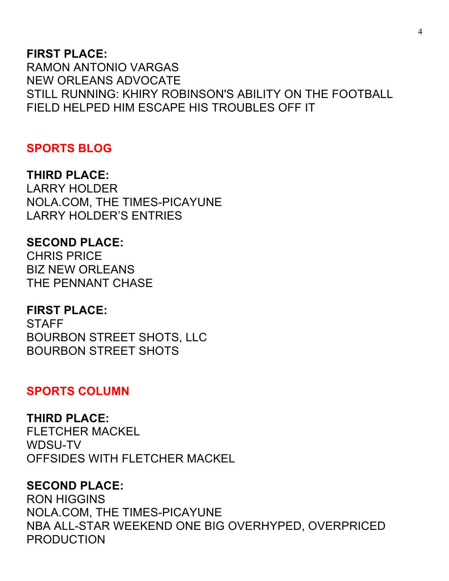#### **FIRST PLACE:**

RAMON ANTONIO VARGAS NEW ORLEANS ADVOCATE STILL RUNNING: KHIRY ROBINSON'S ABILITY ON THE FOOTBALL FIELD HELPED HIM ESCAPE HIS TROUBLES OFF IT

### **SPORTS BLOG**

#### **THIRD PLACE:**

LARRY HOLDER NOLA.COM, THE TIMES-PICAYUNE LARRY HOLDER'S ENTRIES

#### **SECOND PLACE:**

CHRIS PRICE BIZ NEW ORLEANS THE PENNANT CHASE

#### **FIRST PLACE:**

STAFF BOURBON STREET SHOTS, LLC BOURBON STREET SHOTS

#### **SPORTS COLUMN**

#### **THIRD PLACE:**

FLETCHER MACKEL WDSU-TV OFFSIDES WITH FLETCHER MACKEL

#### **SECOND PLACE:**

RON HIGGINS NOLA.COM, THE TIMES-PICAYUNE NBA ALL-STAR WEEKEND ONE BIG OVERHYPED, OVERPRICED PRODUCTION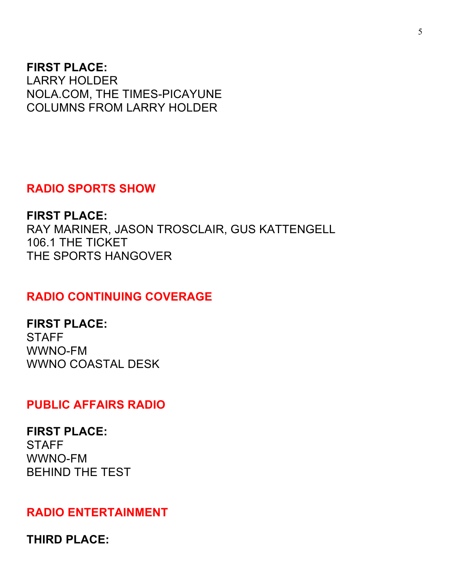#### **FIRST PLACE:**

LARRY HOLDER NOLA.COM, THE TIMES-PICAYUNE COLUMNS FROM LARRY HOLDER

## **RADIO SPORTS SHOW**

**FIRST PLACE:**  RAY MARINER, JASON TROSCLAIR, GUS KATTENGELL 106.1 THE TICKET THE SPORTS HANGOVER

## **RADIO CONTINUING COVERAGE**

**FIRST PLACE: STAFF** WWNO-FM WWNO COASTAL DESK

### **PUBLIC AFFAIRS RADIO**

**FIRST PLACE: STAFF** WWNO-FM BEHIND THE TEST

### **RADIO ENTERTAINMENT**

**THIRD PLACE:**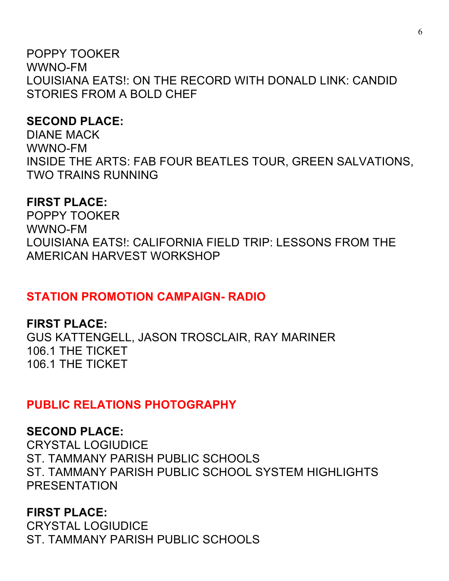POPPY TOOKER WWNO-FM LOUISIANA EATS!: ON THE RECORD WITH DONALD LINK: CANDID STORIES FROM A BOLD CHEF

## **SECOND PLACE:**

DIANE MACK WWNO-FM INSIDE THE ARTS: FAB FOUR BEATLES TOUR, GREEN SALVATIONS, TWO TRAINS RUNNING

## **FIRST PLACE:**

POPPY TOOKER WWNO-FM LOUISIANA EATS!: CALIFORNIA FIELD TRIP: LESSONS FROM THE AMERICAN HARVEST WORKSHOP

## **STATION PROMOTION CAMPAIGN- RADIO**

## **FIRST PLACE:**

GUS KATTENGELL, JASON TROSCLAIR, RAY MARINER 106.1 THE TICKET 106.1 THE TICKET

## **PUBLIC RELATIONS PHOTOGRAPHY**

## **SECOND PLACE:**

CRYSTAL LOGIUDICE ST. TAMMANY PARISH PUBLIC SCHOOLS ST. TAMMANY PARISH PUBLIC SCHOOL SYSTEM HIGHLIGHTS PRESENTATION

## **FIRST PLACE:**

CRYSTAL LOGIUDICE ST. TAMMANY PARISH PUBLIC SCHOOLS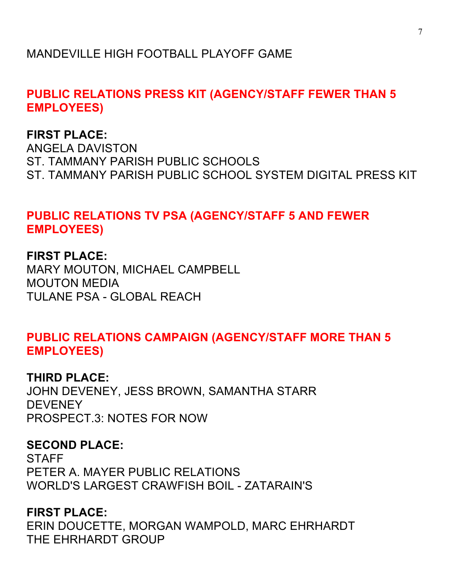## MANDEVILLE HIGH FOOTBALL PLAYOFF GAME

## **PUBLIC RELATIONS PRESS KIT (AGENCY/STAFF FEWER THAN 5 EMPLOYEES)**

## **FIRST PLACE:**

ANGELA DAVISTON ST. TAMMANY PARISH PUBLIC SCHOOLS ST. TAMMANY PARISH PUBLIC SCHOOL SYSTEM DIGITAL PRESS KIT

## **PUBLIC RELATIONS TV PSA (AGENCY/STAFF 5 AND FEWER EMPLOYEES)**

**FIRST PLACE:** MARY MOUTON, MICHAEL CAMPBELL MOUTON MEDIA TULANE PSA - GLOBAL REACH

## **PUBLIC RELATIONS CAMPAIGN (AGENCY/STAFF MORE THAN 5 EMPLOYEES)**

#### **THIRD PLACE:**

JOHN DEVENEY, JESS BROWN, SAMANTHA STARR **DEVENEY** PROSPECT.3: NOTES FOR NOW

## **SECOND PLACE:**

**STAFF** PETER A. MAYER PUBLIC RELATIONS WORLD'S LARGEST CRAWFISH BOIL - ZATARAIN'S

## **FIRST PLACE:**

ERIN DOUCETTE, MORGAN WAMPOLD, MARC EHRHARDT THE EHRHARDT GROUP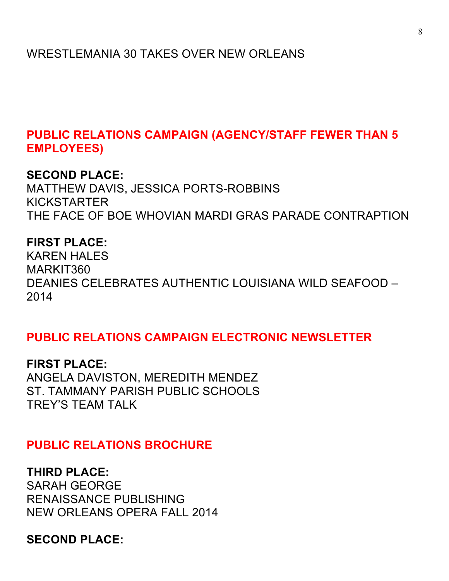**PUBLIC RELATIONS CAMPAIGN (AGENCY/STAFF FEWER THAN 5 EMPLOYEES)** 

#### **SECOND PLACE:**

MATTHEW DAVIS, JESSICA PORTS-ROBBINS KICKSTARTER THE FACE OF BOE WHOVIAN MARDI GRAS PARADE CONTRAPTION

#### **FIRST PLACE:**

KAREN HALES MARKIT360 DEANIES CELEBRATES AUTHENTIC LOUISIANA WILD SEAFOOD – 2014

### **PUBLIC RELATIONS CAMPAIGN ELECTRONIC NEWSLETTER**

**FIRST PLACE:** ANGELA DAVISTON, MEREDITH MENDEZ ST. TAMMANY PARISH PUBLIC SCHOOLS TREY'S TEAM TALK

### **PUBLIC RELATIONS BROCHURE**

#### **THIRD PLACE:**

SARAH GEORGE RENAISSANCE PUBLISHING NEW ORLEANS OPERA FALL 2014

### **SECOND PLACE:**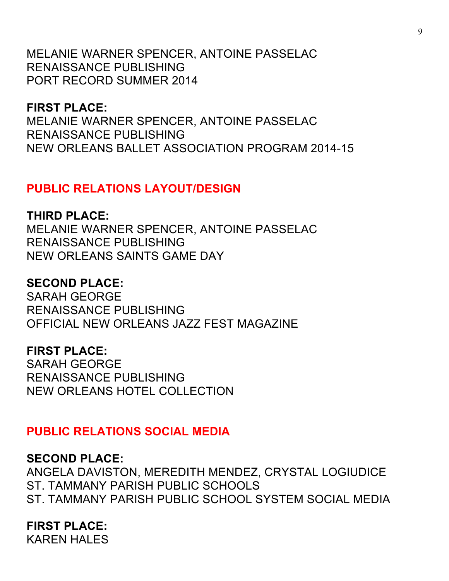MELANIE WARNER SPENCER, ANTOINE PASSELAC RENAISSANCE PUBLISHING PORT RECORD SUMMER 2014

**FIRST PLACE:**  MELANIE WARNER SPENCER, ANTOINE PASSELAC RENAISSANCE PUBLISHING NEW ORLEANS BALLET ASSOCIATION PROGRAM 2014-15

### **PUBLIC RELATIONS LAYOUT/DESIGN**

#### **THIRD PLACE:**

MELANIE WARNER SPENCER, ANTOINE PASSELAC RENAISSANCE PUBLISHING NEW ORLEANS SAINTS GAME DAY

### **SECOND PLACE:**

SARAH GEORGE RENAISSANCE PUBLISHING OFFICIAL NEW ORLEANS JAZZ FEST MAGAZINE

#### **FIRST PLACE:**

SARAH GEORGE RENAISSANCE PUBLISHING NEW ORLEANS HOTEL COLLECTION

## **PUBLIC RELATIONS SOCIAL MEDIA**

### **SECOND PLACE:**

ANGELA DAVISTON, MEREDITH MENDEZ, CRYSTAL LOGIUDICE ST. TAMMANY PARISH PUBLIC SCHOOLS ST. TAMMANY PARISH PUBLIC SCHOOL SYSTEM SOCIAL MEDIA

## **FIRST PLACE:**

KAREN HALES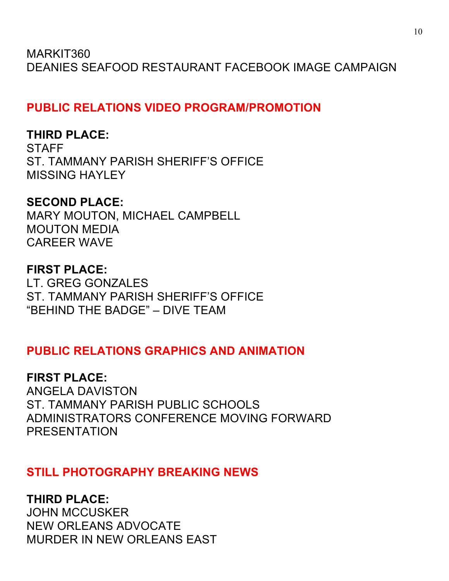MARKIT360 DEANIES SEAFOOD RESTAURANT FACEBOOK IMAGE CAMPAIGN

**PUBLIC RELATIONS VIDEO PROGRAM/PROMOTION**

## **THIRD PLACE:**

**STAFF** ST. TAMMANY PARISH SHERIFF'S OFFICE MISSING HAYLEY

## **SECOND PLACE:**

MARY MOUTON, MICHAEL CAMPBELL MOUTON MEDIA CAREER WAVE

## **FIRST PLACE:**

LT. GREG GONZALES ST. TAMMANY PARISH SHERIFF'S OFFICE "BEHIND THE BADGE" – DIVE TEAM

## **PUBLIC RELATIONS GRAPHICS AND ANIMATION**

**FIRST PLACE:**  ANGELA DAVISTON ST. TAMMANY PARISH PUBLIC SCHOOLS ADMINISTRATORS CONFERENCE MOVING FORWARD PRESENTATION

## **STILL PHOTOGRAPHY BREAKING NEWS**

**THIRD PLACE:** JOHN MCCUSKER NEW ORLEANS ADVOCATE MURDER IN NEW ORLEANS EAST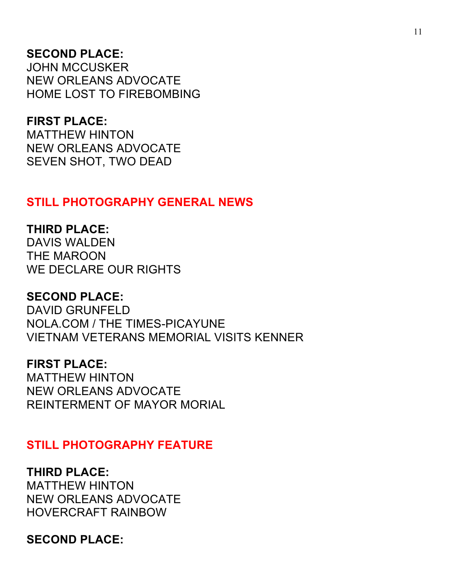## **SECOND PLACE:**

JOHN MCCUSKER NEW ORLEANS ADVOCATE HOME LOST TO FIREBOMBING

#### **FIRST PLACE:**

MATTHEW HINTON NEW ORLEANS ADVOCATE SEVEN SHOT, TWO DEAD

## **STILL PHOTOGRAPHY GENERAL NEWS**

### **THIRD PLACE:**

DAVIS WALDEN THE MAROON WE DECLARE OUR RIGHTS

#### **SECOND PLACE:**

DAVID GRUNFELD NOLA.COM / THE TIMES-PICAYUNE VIETNAM VETERANS MEMORIAL VISITS KENNER

### **FIRST PLACE:**

MATTHEW HINTON NEW ORLEANS ADVOCATE REINTERMENT OF MAYOR MORIAL

#### **STILL PHOTOGRAPHY FEATURE**

#### **THIRD PLACE:**  MATTHEW HINTON

NEW ORLEANS ADVOCATE HOVERCRAFT RAINBOW

### **SECOND PLACE:**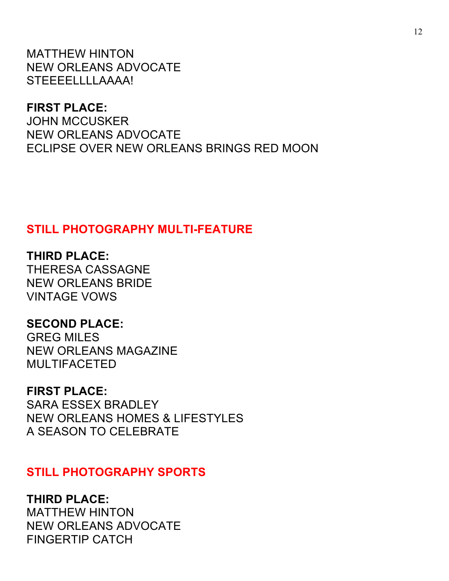MATTHEW HINTON NEW ORLEANS ADVOCATE STEEEELLLLAAAA!

**FIRST PLACE:** 

JOHN MCCUSKER NEW ORLEANS ADVOCATE ECLIPSE OVER NEW ORLEANS BRINGS RED MOON

## **STILL PHOTOGRAPHY MULTI-FEATURE**

**THIRD PLACE:**  THERESA CASSAGNE NEW ORLEANS BRIDE VINTAGE VOWS

**SECOND PLACE:**  GREG MILES NEW ORLEANS MAGAZINE MULTIFACETED

**FIRST PLACE:**  SARA ESSEX BRADLEY NEW ORLEANS HOMES & LIFESTYLES A SEASON TO CELEBRATE

### **STILL PHOTOGRAPHY SPORTS**

**THIRD PLACE:** 

MATTHEW HINTON NEW ORLEANS ADVOCATE FINGERTIP CATCH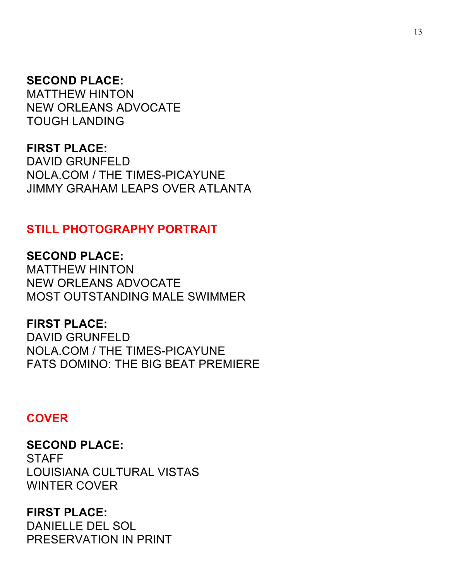#### **SECOND PLACE:**

MATTHEW HINTON NEW ORLEANS ADVOCATE TOUGH LANDING

#### **FIRST PLACE:**

DAVID GRUNFELD NOLA.COM / THE TIMES-PICAYUNE JIMMY GRAHAM LEAPS OVER ATLANTA

### **STILL PHOTOGRAPHY PORTRAIT**

**SECOND PLACE:**  MATTHEW HINTON NEW ORLEANS ADVOCATE MOST OUTSTANDING MALE SWIMMER

**FIRST PLACE:**  DAVID GRUNFELD NOLA.COM / THE TIMES-PICAYUNE FATS DOMINO: THE BIG BEAT PREMIERE

#### **COVER**

**SECOND PLACE: STAFF** LOUISIANA CULTURAL VISTAS WINTER COVER

## **FIRST PLACE:**

DANIELLE DEL SOL PRESERVATION IN PRINT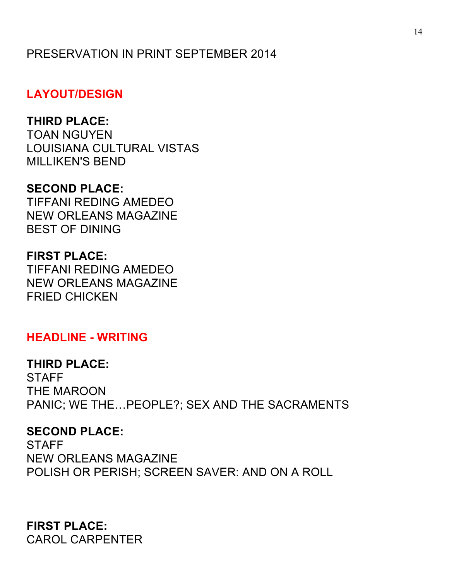## PRESERVATION IN PRINT SEPTEMBER 2014

## **LAYOUT/DESIGN**

## **THIRD PLACE:**

TOAN NGUYEN LOUISIANA CULTURAL VISTAS MILLIKEN'S BEND

## **SECOND PLACE:**

TIFFANI REDING AMEDEO NEW ORLEANS MAGAZINE BEST OF DINING

### **FIRST PLACE:**

TIFFANI REDING AMEDEO NEW ORLEANS MAGAZINE FRIED CHICKEN

### **HEADLINE - WRITING**

#### **THIRD PLACE:**

**STAFF** THE MAROON PANIC; WE THE…PEOPLE?; SEX AND THE SACRAMENTS

#### **SECOND PLACE:**

**STAFF** NEW ORLEANS MAGAZINE POLISH OR PERISH; SCREEN SAVER: AND ON A ROLL

**FIRST PLACE:**  CAROL CARPENTER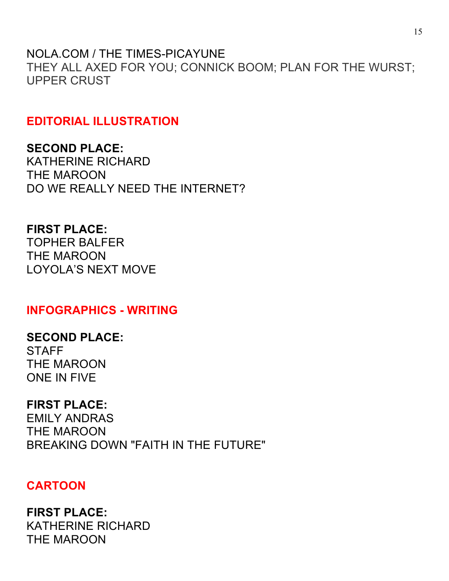NOLA.COM / THE TIMES-PICAYUNE THEY ALL AXED FOR YOU; CONNICK BOOM; PLAN FOR THE WURST; UPPER CRUST

## **EDITORIAL ILLUSTRATION**

**SECOND PLACE:**  KATHERINE RICHARD THE MAROON DO WE REALLY NEED THE INTERNET?

**FIRST PLACE:**  TOPHER BALFER THE MAROON LOYOLA'S NEXT MOVE

**INFOGRAPHICS - WRITING**

**SECOND PLACE:**  STAFF THE MAROON ONE IN FIVE

**FIRST PLACE:** 

EMILY ANDRAS THE MAROON BREAKING DOWN "FAITH IN THE FUTURE"

## **CARTOON**

**FIRST PLACE:**  KATHERINE RICHARD THE MAROON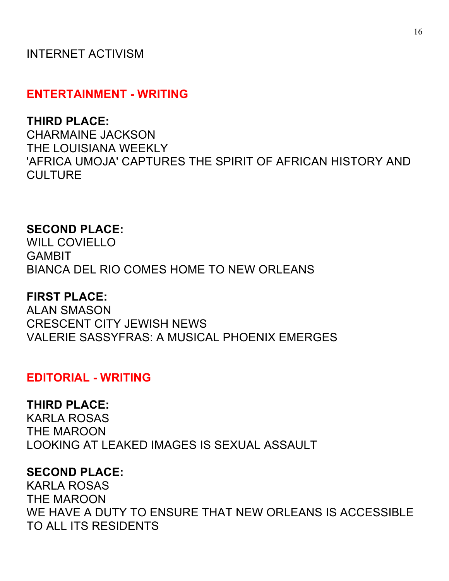## INTERNET ACTIVISM

#### **ENTERTAINMENT - WRITING**

#### **THIRD PLACE:**

CHARMAINE JACKSON THE LOUISIANA WEEKLY 'AFRICA UMOJA' CAPTURES THE SPIRIT OF AFRICAN HISTORY AND **CULTURE** 

#### **SECOND PLACE:**

WILL COVIELLO GAMBIT BIANCA DEL RIO COMES HOME TO NEW ORLEANS

#### **FIRST PLACE:**

ALAN SMASON CRESCENT CITY JEWISH NEWS VALERIE SASSYFRAS: A MUSICAL PHOENIX EMERGES

#### **EDITORIAL - WRITING**

#### **THIRD PLACE:**

KARLA ROSAS THE MAROON LOOKING AT LEAKED IMAGES IS SEXUAL ASSAULT

#### **SECOND PLACE:**

KARLA ROSAS THE MAROON WE HAVE A DUTY TO ENSURE THAT NEW ORLEANS IS ACCESSIBLE TO ALL ITS RESIDENTS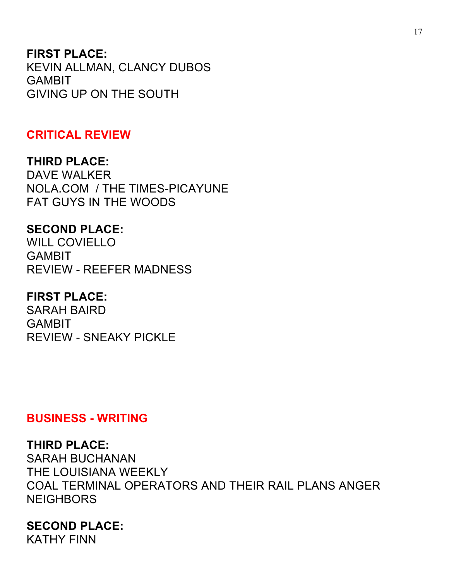### **FIRST PLACE:**

KEVIN ALLMAN, CLANCY DUBOS GAMBIT GIVING UP ON THE SOUTH

#### **CRITICAL REVIEW**

### **THIRD PLACE:**

DAVE WALKER NOLA.COM / THE TIMES-PICAYUNE FAT GUYS IN THE WOODS

#### **SECOND PLACE:**

WILL COVIELLO GAMBIT REVIEW - REEFER MADNESS

## **FIRST PLACE:**

SARAH BAIRD **GAMBIT** REVIEW - SNEAKY PICKLE

#### **BUSINESS - WRITING**

#### **THIRD PLACE:**

SARAH BUCHANAN THE LOUISIANA WEEKLY COAL TERMINAL OPERATORS AND THEIR RAIL PLANS ANGER NEIGHBORS

### **SECOND PLACE:**

KATHY FINN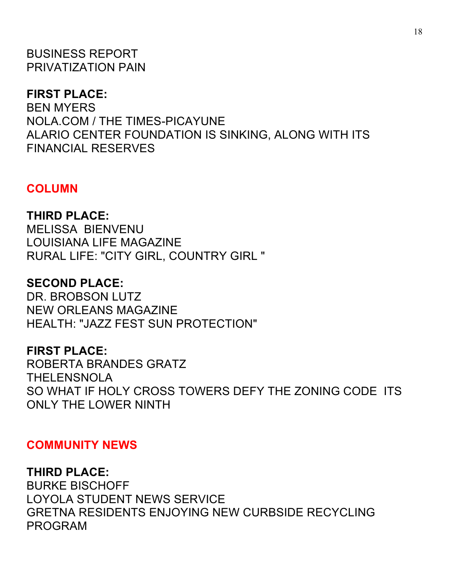BUSINESS REPORT PRIVATIZATION PAIN

### **FIRST PLACE:**

BEN MYERS NOLA.COM / THE TIMES-PICAYUNE ALARIO CENTER FOUNDATION IS SINKING, ALONG WITH ITS FINANCIAL RESERVES

#### **COLUMN**

**THIRD PLACE:**  MELISSA BIENVENU LOUISIANA LIFE MAGAZINE RURAL LIFE: "CITY GIRL, COUNTRY GIRL "

#### **SECOND PLACE:**

DR. BROBSON LUTZ NEW ORLEANS MAGAZINE HEALTH: "JAZZ FEST SUN PROTECTION"

#### **FIRST PLACE:**

ROBERTA BRANDES GRATZ THELENSNOLA SO WHAT IF HOLY CROSS TOWERS DEFY THE ZONING CODE ITS ONLY THE LOWER NINTH

#### **COMMUNITY NEWS**

#### **THIRD PLACE:**

BURKE BISCHOFF LOYOLA STUDENT NEWS SERVICE GRETNA RESIDENTS ENJOYING NEW CURBSIDE RECYCLING PROGRAM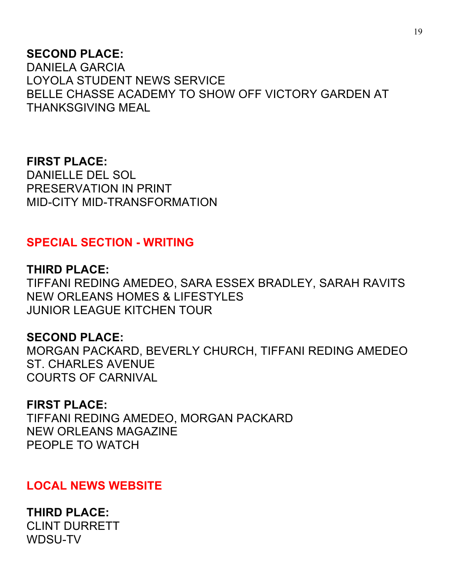## **SECOND PLACE:**

DANIELA GARCIA LOYOLA STUDENT NEWS SERVICE BELLE CHASSE ACADEMY TO SHOW OFF VICTORY GARDEN AT THANKSGIVING MEAL

**FIRST PLACE:**  DANIELLE DEL SOL PRESERVATION IN PRINT MID-CITY MID-TRANSFORMATION

## **SPECIAL SECTION - WRITING**

**THIRD PLACE:** 

TIFFANI REDING AMEDEO, SARA ESSEX BRADLEY, SARAH RAVITS NEW ORLEANS HOMES & LIFESTYLES JUNIOR LEAGUE KITCHEN TOUR

### **SECOND PLACE:**

MORGAN PACKARD, BEVERLY CHURCH, TIFFANI REDING AMEDEO ST. CHARLES AVENUE COURTS OF CARNIVAL

#### **FIRST PLACE:**

TIFFANI REDING AMEDEO, MORGAN PACKARD NEW ORLEANS MAGAZINE PEOPLE TO WATCH

### **LOCAL NEWS WEBSITE**

**THIRD PLACE:**  CLINT DURRETT WDSU-TV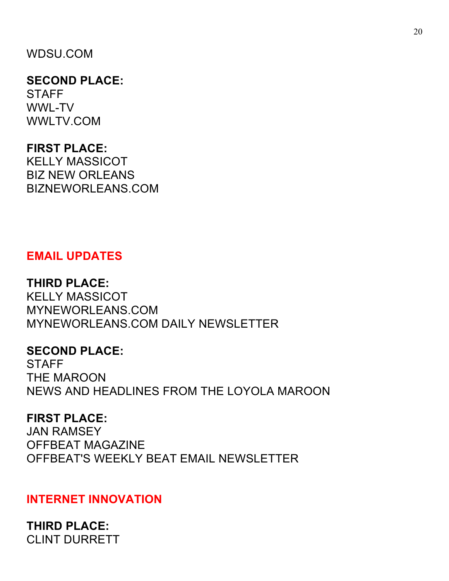## WDSU.COM

### **SECOND PLACE: STAFF** WWL-TV WWLTV.COM

## **FIRST PLACE:**

KELLY MASSICOT BIZ NEW ORLEANS BIZNEWORLEANS.COM

## **EMAIL UPDATES**

## **THIRD PLACE:**

KELLY MASSICOT MYNEWORLEANS.COM MYNEWORLEANS.COM DAILY NEWSLETTER

### **SECOND PLACE:**

**STAFF** THE MAROON NEWS AND HEADLINES FROM THE LOYOLA MAROON

### **FIRST PLACE:**

JAN RAMSEY OFFBEAT MAGAZINE OFFBEAT'S WEEKLY BEAT EMAIL NEWSLETTER

### **INTERNET INNOVATION**

**THIRD PLACE:**  CLINT DURRETT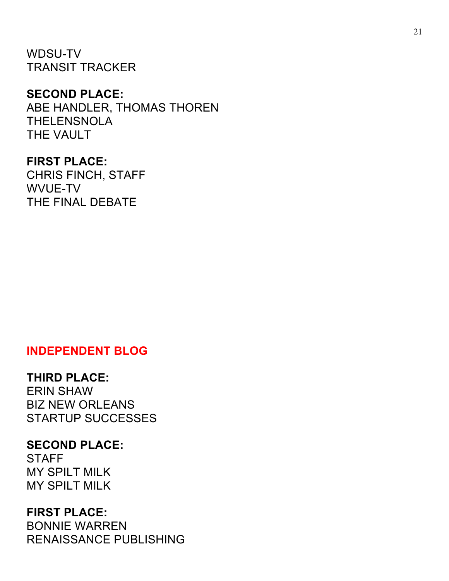WDSU-TV TRANSIT TRACKER

#### **SECOND PLACE:**

ABE HANDLER, THOMAS THOREN THELENSNOLA THE VAULT

### **FIRST PLACE:**

CHRIS FINCH, STAFF WVUE-TV THE FINAL DEBATE

### **INDEPENDENT BLOG**

#### **THIRD PLACE:**

ERIN SHAW BIZ NEW ORLEANS STARTUP SUCCESSES

## **SECOND PLACE:**

**STAFF** MY SPILT MILK MY SPILT MILK

#### **FIRST PLACE:**

BONNIE WARREN RENAISSANCE PUBLISHING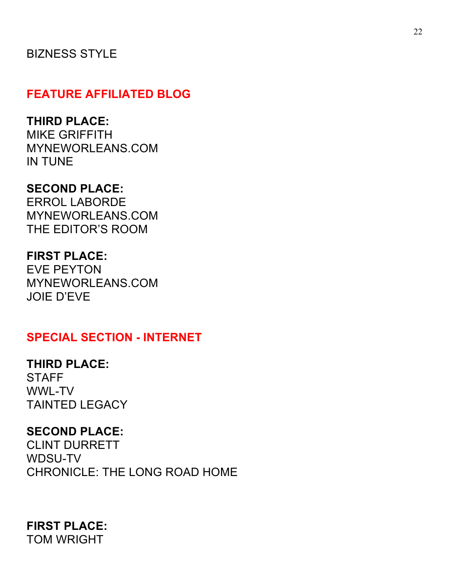## BIZNESS STYLE

## **FEATURE AFFILIATED BLOG**

### **THIRD PLACE:**

MIKE GRIFFITH MYNEWORLEANS.COM IN TUNE

### **SECOND PLACE:**

ERROL LABORDE MYNEWORLEANS.COM THE EDITOR'S ROOM

## **FIRST PLACE:**

EVE PEYTON MYNEWORLEANS.COM JOIE D'EVE

## **SPECIAL SECTION - INTERNET**

### **THIRD PLACE:**

**STAFF** WWL-TV TAINTED LEGACY

### **SECOND PLACE:**

CLINT DURRETT WDSU-TV CHRONICLE: THE LONG ROAD HOME

# **FIRST PLACE:**

TOM WRIGHT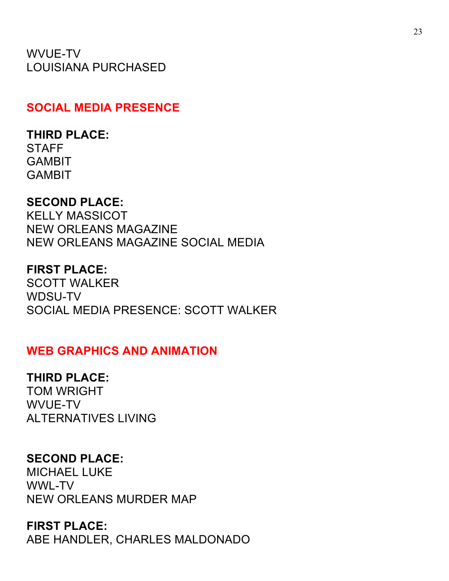WVUE-TV LOUISIANA PURCHASED

### **SOCIAL MEDIA PRESENCE**

#### **THIRD PLACE:**

**STAFF** GAMBIT GAMBIT

#### **SECOND PLACE:**

KELLY MASSICOT NEW ORLEANS MAGAZINE NEW ORLEANS MAGAZINE SOCIAL MEDIA

#### **FIRST PLACE:**

SCOTT WALKER WDSU-TV SOCIAL MEDIA PRESENCE: SCOTT WALKER

### **WEB GRAPHICS AND ANIMATION**

#### **THIRD PLACE:**

TOM WRIGHT WVUE-TV ALTERNATIVES LIVING

### **SECOND PLACE:**

MICHAEL LUKE WWL-TV NEW ORLEANS MURDER MAP

#### **FIRST PLACE:**

ABE HANDLER, CHARLES MALDONADO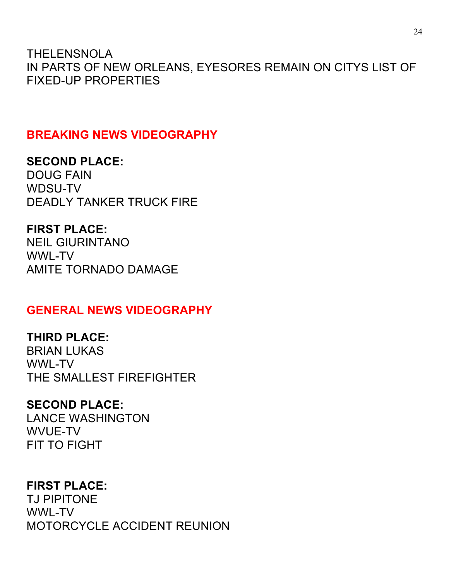THELENSNOLA IN PARTS OF NEW ORLEANS, EYESORES REMAIN ON CITYS LIST OF FIXED-UP PROPERTIES

## **BREAKING NEWS VIDEOGRAPHY**

**SECOND PLACE:**  DOUG FAIN WDSU-TV DEADLY TANKER TRUCK FIRE

**FIRST PLACE:**  NEIL GIURINTANO WWL-TV AMITE TORNADO DAMAGE

### **GENERAL NEWS VIDEOGRAPHY**

**THIRD PLACE:**  BRIAN LUKAS WWL-TV THE SMALLEST FIREFIGHTER

### **SECOND PLACE:**  LANCE WASHINGTON WVUE-TV FIT TO FIGHT

### **FIRST PLACE:**

TJ PIPITONE WWL-TV MOTORCYCLE ACCIDENT REUNION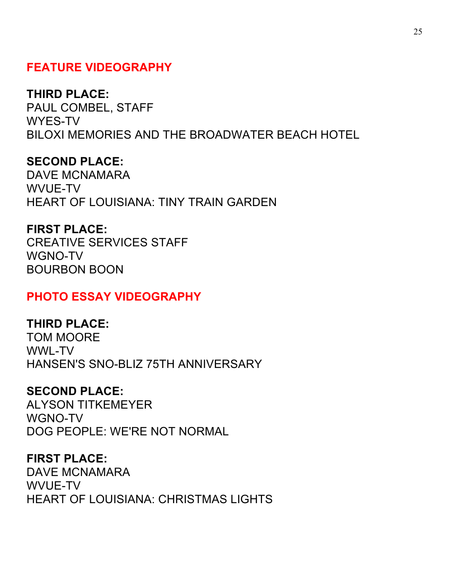## **FEATURE VIDEOGRAPHY**

#### **THIRD PLACE:**

PAUL COMBEL, STAFF WYES-TV BILOXI MEMORIES AND THE BROADWATER BEACH HOTEL

## **SECOND PLACE:**

DAVE MCNAMARA WVUE-TV HEART OF LOUISIANA: TINY TRAIN GARDEN

## **FIRST PLACE:**

CREATIVE SERVICES STAFF WGNO-TV BOURBON BOON

### **PHOTO ESSAY VIDEOGRAPHY**

### **THIRD PLACE:**

TOM MOORE WWL-TV HANSEN'S SNO-BLIZ 75TH ANNIVERSARY

### **SECOND PLACE:**

ALYSON TITKEMEYER WGNO-TV DOG PEOPLE: WE'RE NOT NORMAL

#### **FIRST PLACE:**

DAVE MCNAMARA WVUF-TV HEART OF LOUISIANA: CHRISTMAS LIGHTS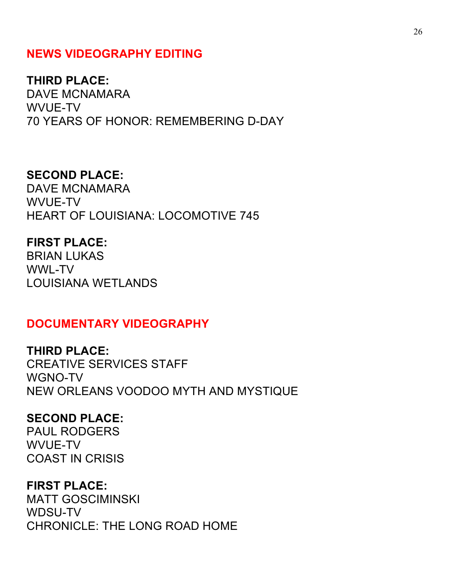### **NEWS VIDEOGRAPHY EDITING**

#### **THIRD PLACE:**

DAVE MCNAMARA WVUE-TV 70 YEARS OF HONOR: REMEMBERING D-DAY

#### **SECOND PLACE:**

DAVE MCNAMARA WVUE-TV HEART OF LOUISIANA: LOCOMOTIVE 745

#### **FIRST PLACE:**

BRIAN LUKAS WWL-TV LOUISIANA WETLANDS

#### **DOCUMENTARY VIDEOGRAPHY**

**THIRD PLACE:** CREATIVE SERVICES STAFF WGNO-TV NEW ORLEANS VOODOO MYTH AND MYSTIQUE

#### **SECOND PLACE:**

PAUL RODGERS WVUE-TV COAST IN CRISIS

#### **FIRST PLACE:**

MATT GOSCIMINSKI WDSU-TV CHRONICLE: THE LONG ROAD HOME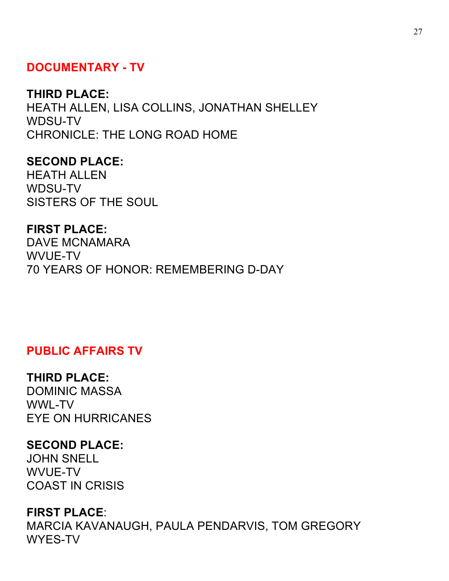### **DOCUMENTARY - TV**

#### **THIRD PLACE:**

HEATH ALLEN, LISA COLLINS, JONATHAN SHELLEY WDSU-TV CHRONICLE: THE LONG ROAD HOME

**SECOND PLACE:**  HEATH ALLEN WDSU-TV SISTERS OF THE SOUL

**FIRST PLACE:** 

DAVE MCNAMARA WVUE-TV 70 YEARS OF HONOR: REMEMBERING D-DAY

### **PUBLIC AFFAIRS TV**

#### **THIRD PLACE:**

DOMINIC MASSA WWL-TV EYE ON HURRICANES

### **SECOND PLACE:**

JOHN SNELL WVUE-TV COAST IN CRISIS

#### **FIRST PLACE**:

MARCIA KAVANAUGH, PAULA PENDARVIS, TOM GREGORY WYES-TV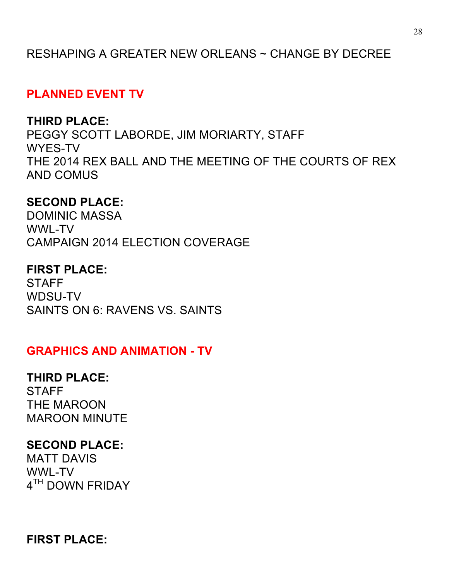## RESHAPING A GREATER NEW ORLEANS ~ CHANGE BY DECREE

## **PLANNED EVENT TV**

## **THIRD PLACE:**

PEGGY SCOTT LABORDE, JIM MORIARTY, STAFF WYES-TV THE 2014 REX BALL AND THE MEETING OF THE COURTS OF REX AND COMUS

### **SECOND PLACE:**

DOMINIC MASSA WWL-TV CAMPAIGN 2014 ELECTION COVERAGE

#### **FIRST PLACE:**

**STAFF** WDSU-TV SAINTS ON 6: RAVENS VS. SAINTS

### **GRAPHICS AND ANIMATION - TV**

### **THIRD PLACE:**

**STAFF** THE MAROON MAROON MINUTE

### **SECOND PLACE:**

MATT DAVIS WWL-TV 4<sup>TH</sup> DOWN FRIDAY

**FIRST PLACE:**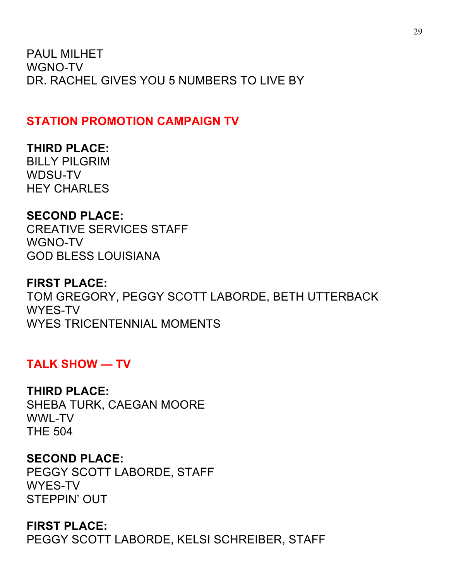PAUL MILHET WGNO-TV DR. RACHEL GIVES YOU 5 NUMBERS TO LIVE BY

## **STATION PROMOTION CAMPAIGN TV**

## **THIRD PLACE:**

BILLY PILGRIM WDSU-TV HEY CHARLES

## **SECOND PLACE:**

CREATIVE SERVICES STAFF WGNO-TV GOD BLESS LOUISIANA

## **FIRST PLACE:**

TOM GREGORY, PEGGY SCOTT LABORDE, BETH UTTERBACK WYES-TV WYES TRICENTENNIAL MOMENTS

## **TALK SHOW — TV**

## **THIRD PLACE:**

SHEBA TURK, CAEGAN MOORE WWL-TV THE 504

## **SECOND PLACE:**

PEGGY SCOTT LABORDE, STAFF WYES-TV STEPPIN' OUT

## **FIRST PLACE:**

PEGGY SCOTT LABORDE, KELSI SCHREIBER, STAFF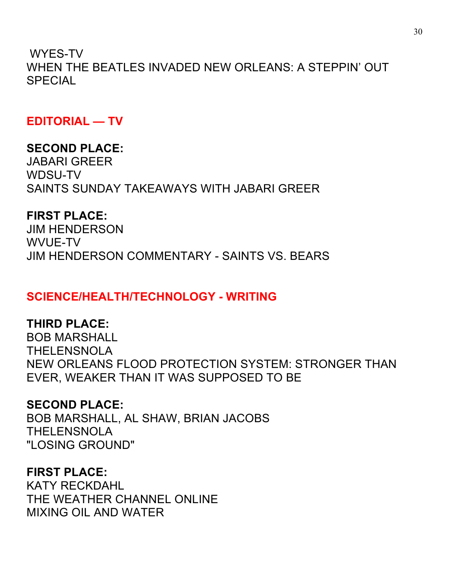WYES-TV WHEN THE BEATLES INVADED NEW ORLEANS: A STEPPIN' OUT SPECIAL

**EDITORIAL — TV**

## **SECOND PLACE:**

JABARI GREER WDSU-TV SAINTS SUNDAY TAKEAWAYS WITH JABARI GREER

## **FIRST PLACE:**

JIM HENDERSON WVUE-TV JIM HENDERSON COMMENTARY - SAINTS VS. BEARS

## **SCIENCE/HEALTH/TECHNOLOGY - WRITING**

## **THIRD PLACE:**

BOB MARSHALL THELENSNOLA NEW ORLEANS FLOOD PROTECTION SYSTEM: STRONGER THAN EVER, WEAKER THAN IT WAS SUPPOSED TO BE

## **SECOND PLACE:**

BOB MARSHALL, AL SHAW, BRIAN JACOBS THELENSNOLA "LOSING GROUND"

## **FIRST PLACE:**

KATY RECKDAHL THE WEATHER CHANNEL ONLINE MIXING OIL AND WATER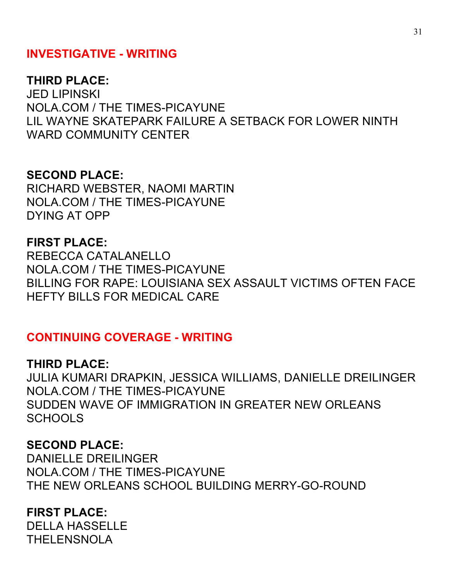## **INVESTIGATIVE - WRITING**

#### **THIRD PLACE:**

JED LIPINSKI NOLA.COM / THE TIMES-PICAYUNE LIL WAYNE SKATEPARK FAILURE A SETBACK FOR LOWER NINTH WARD COMMUNITY CENTER

#### **SECOND PLACE:**

RICHARD WEBSTER, NAOMI MARTIN NOLA.COM / THE TIMES-PICAYUNE DYING AT OPP

#### **FIRST PLACE:**

REBECCA CATALANELLO NOLA.COM / THE TIMES-PICAYUNE BILLING FOR RAPE: LOUISIANA SEX ASSAULT VICTIMS OFTEN FACE HEFTY BILLS FOR MEDICAL CARE

#### **CONTINUING COVERAGE - WRITING**

#### **THIRD PLACE:**

JULIA KUMARI DRAPKIN, JESSICA WILLIAMS, DANIELLE DREILINGER NOLA.COM / THE TIMES-PICAYUNE SUDDEN WAVE OF IMMIGRATION IN GREATER NEW ORLEANS **SCHOOLS** 

#### **SECOND PLACE:**

DANIELLE DREILINGER NOLA.COM / THE TIMES-PICAYUNE THE NEW ORLEANS SCHOOL BUILDING MERRY-GO-ROUND

### **FIRST PLACE:**

DELLA HASSELLE THELENSNOLA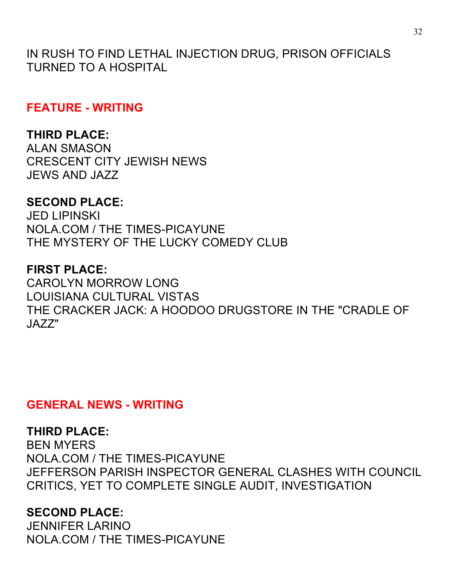IN RUSH TO FIND LETHAL INJECTION DRUG, PRISON OFFICIALS TURNED TO A HOSPITAL

**FEATURE - WRITING**

## **THIRD PLACE:**

ALAN SMASON CRESCENT CITY JEWISH NEWS JEWS AND JAZZ

## **SECOND PLACE:**

JED LIPINSKI NOLA.COM / THE TIMES-PICAYUNE THE MYSTERY OF THE LUCKY COMEDY CLUB

### **FIRST PLACE:**

CAROLYN MORROW LONG LOUISIANA CULTURAL VISTAS THE CRACKER JACK: A HOODOO DRUGSTORE IN THE "CRADLE OF JAZZ"

### **GENERAL NEWS - WRITING**

## **THIRD PLACE:**

BEN MYERS NOLA.COM / THE TIMES-PICAYUNE JEFFERSON PARISH INSPECTOR GENERAL CLASHES WITH COUNCIL CRITICS, YET TO COMPLETE SINGLE AUDIT, INVESTIGATION

## **SECOND PLACE:**

JENNIFER LARINO NOLA.COM / THE TIMES-PICAYUNE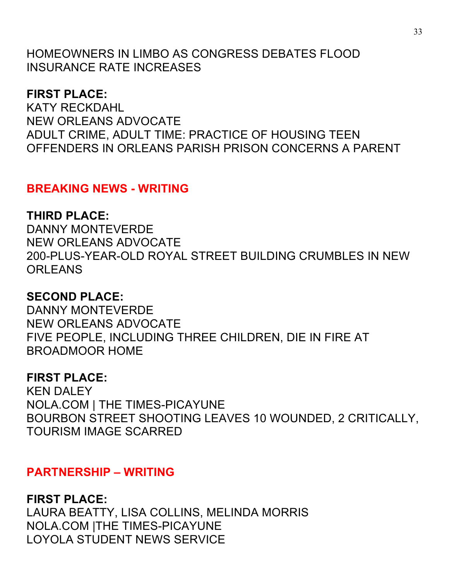HOMEOWNERS IN LIMBO AS CONGRESS DEBATES FLOOD INSURANCE RATE INCREASES

## **FIRST PLACE:**

KATY RECKDAHL NEW ORLEANS ADVOCATE ADULT CRIME, ADULT TIME: PRACTICE OF HOUSING TEEN OFFENDERS IN ORLEANS PARISH PRISON CONCERNS A PARENT

## **BREAKING NEWS - WRITING**

## **THIRD PLACE:**

DANNY MONTEVERDE NEW ORLEANS ADVOCATE 200-PLUS-YEAR-OLD ROYAL STREET BUILDING CRUMBLES IN NEW **ORLEANS** 

## **SECOND PLACE:**

DANNY MONTEVERDE NEW ORLEANS ADVOCATE FIVE PEOPLE, INCLUDING THREE CHILDREN, DIE IN FIRE AT BROADMOOR HOME

## **FIRST PLACE:**

KEN DALEY NOLA.COM | THE TIMES-PICAYUNE BOURBON STREET SHOOTING LEAVES 10 WOUNDED, 2 CRITICALLY, TOURISM IMAGE SCARRED

## **PARTNERSHIP – WRITING**

**FIRST PLACE:** LAURA BEATTY, LISA COLLINS, MELINDA MORRIS NOLA.COM |THE TIMES-PICAYUNE LOYOLA STUDENT NEWS SERVICE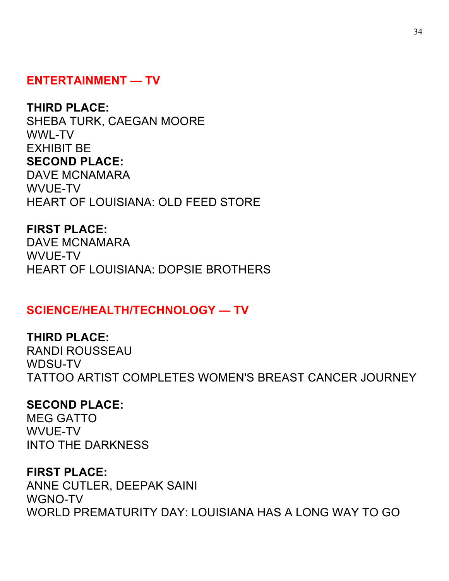## **ENTERTAINMENT — TV**

#### **THIRD PLACE:**

SHEBA TURK, CAEGAN MOORE WWL-TV EXHIBIT BE **SECOND PLACE:**  DAVE MCNAMARA WVUE-TV HEART OF LOUISIANA: OLD FEED STORE

#### **FIRST PLACE:**

DAVE MCNAMARA WVUE-TV HEART OF LOUISIANA: DOPSIE BROTHERS

### **SCIENCE/HEALTH/TECHNOLOGY — TV**

#### **THIRD PLACE:**

RANDI ROUSSEAU WDSU-TV TATTOO ARTIST COMPLETES WOMEN'S BREAST CANCER JOURNEY

#### **SECOND PLACE:**

MEG GATTO WVUE-TV INTO THE DARKNESS

#### **FIRST PLACE:**

ANNE CUTLER, DEEPAK SAINI WGNO-TV WORLD PREMATURITY DAY: LOUISIANA HAS A LONG WAY TO GO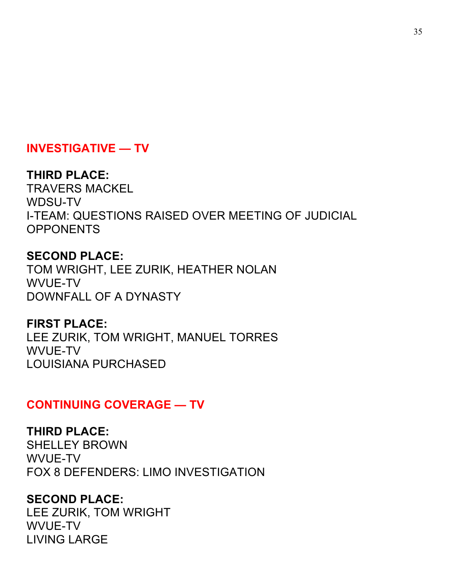## **INVESTIGATIVE — TV**

## **THIRD PLACE:**

TRAVERS MACKEL WDSU-TV I-TEAM: QUESTIONS RAISED OVER MEETING OF JUDICIAL **OPPONENTS** 

## **SECOND PLACE:**

TOM WRIGHT, LEE ZURIK, HEATHER NOLAN WVUE-TV DOWNFALL OF A DYNASTY

**FIRST PLACE:**  LEE ZURIK, TOM WRIGHT, MANUEL TORRES WVUE-TV LOUISIANA PURCHASED

## **CONTINUING COVERAGE — TV**

**THIRD PLACE:**  SHELLEY BROWN WVUE-TV FOX 8 DEFENDERS: LIMO INVESTIGATION

### **SECOND PLACE:**

LEE ZURIK, TOM WRIGHT WVUE-TV LIVING LARGE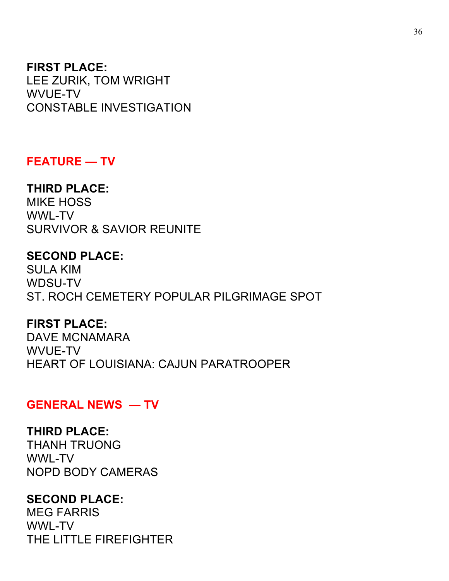### **FIRST PLACE:**

LEE ZURIK, TOM WRIGHT WVUE-TV CONSTABLE INVESTIGATION

#### **FEATURE — TV**

### **THIRD PLACE:**

MIKE HOSS WWL-TV SURVIVOR & SAVIOR REUNITE

## **SECOND PLACE:**

SULA KIM WDSU-TV ST. ROCH CEMETERY POPULAR PILGRIMAGE SPOT

#### **FIRST PLACE:**

DAVE MCNAMARA WVUE-TV HEART OF LOUISIANA: CAJUN PARATROOPER

### **GENERAL NEWS — TV**

#### **THIRD PLACE:**

THANH TRUONG WWL-TV NOPD BODY CAMERAS

## **SECOND PLACE:**

MEG FARRIS WWL-TV THE LITTLE FIREFIGHTER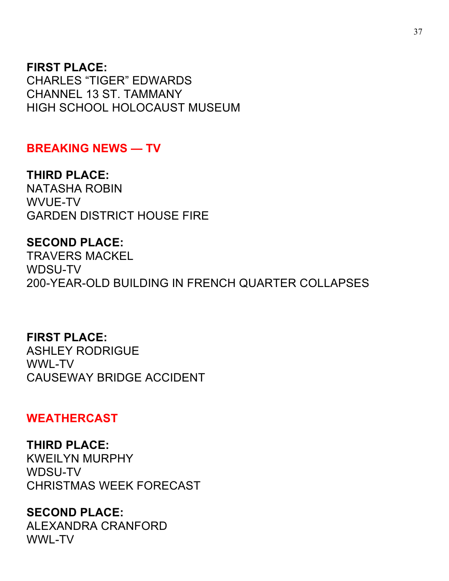### **FIRST PLACE:**

CHARLES "TIGER" EDWARDS CHANNEL 13 ST. TAMMANY HIGH SCHOOL HOLOCAUST MUSEUM

### **BREAKING NEWS — TV**

**THIRD PLACE:**  NATASHA ROBIN WVUE-TV GARDEN DISTRICT HOUSE FIRE

#### **SECOND PLACE:**

TRAVERS MACKEL WDSU-TV 200-YEAR-OLD BUILDING IN FRENCH QUARTER COLLAPSES

#### **FIRST PLACE:**

ASHLEY RODRIGUE WWL-TV CAUSEWAY BRIDGE ACCIDENT

### **WEATHERCAST**

#### **THIRD PLACE:**

KWEILYN MURPHY WDSU-TV CHRISTMAS WEEK FORECAST

### **SECOND PLACE:**

ALEXANDRA CRANFORD WWL-TV